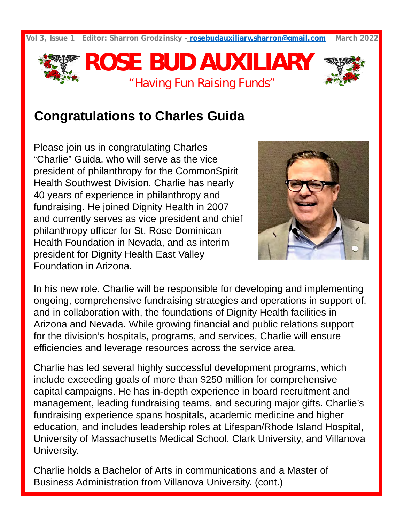**Vol 3, Issue 1 Editor: Sharron Grodzinsky - [rosebudauxiliary.sharron@gmail.com](mailto:rosebudauxiliary.sharron@gmail.com) March 2022**



### **Congratulations to Charles Guida**

Please join us in congratulating Charles "Charlie" Guida, who will serve as the vice president of philanthropy for the CommonSpirit Health Southwest Division. Charlie has nearly 40 years of experience in philanthropy and fundraising. He joined Dignity Health in 2007 and currently serves as vice president and chief philanthropy officer for St. Rose Dominican Health Foundation in Nevada, and as interim president for Dignity Health East Valley Foundation in Arizona.



In his new role, Charlie will be responsible for developing and implementing ongoing, comprehensive fundraising strategies and operations in support of, and in collaboration with, the foundations of Dignity Health facilities in Arizona and Nevada. While growing financial and public relations support for the division's hospitals, programs, and services, Charlie will ensure efficiencies and leverage resources across the service area.

Charlie has led several highly successful development programs, which include exceeding goals of more than \$250 million for comprehensive capital campaigns. He has in-depth experience in board recruitment and management, leading fundraising teams, and securing major gifts. Charlie's fundraising experience spans hospitals, academic medicine and higher education, and includes leadership roles at Lifespan/Rhode Island Hospital, University of Massachusetts Medical School, Clark University, and Villanova University.

Charlie holds a Bachelor of Arts in communications and a Master of Business Administration from Villanova University. (cont.)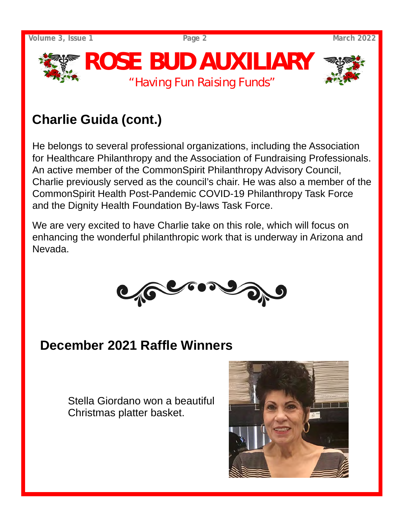**Volume 3, Issue 1 Page 2 March 2022**



# **Charlie Guida (cont.)**

He belongs to several professional organizations, including the Association for Healthcare Philanthropy and the Association of Fundraising Professionals. An active member of the CommonSpirit Philanthropy Advisory Council, Charlie previously served as the council's chair. He was also a member of the CommonSpirit Health Post-Pandemic COVID-19 Philanthropy Task Force and the Dignity Health Foundation By-laws Task Force.

We are very excited to have Charlie take on this role, which will focus on enhancing the wonderful philanthropic work that is underway in Arizona and Nevada.



# **December 2021 Raffle Winners**

Stella Giordano won a beautiful Christmas platter basket.

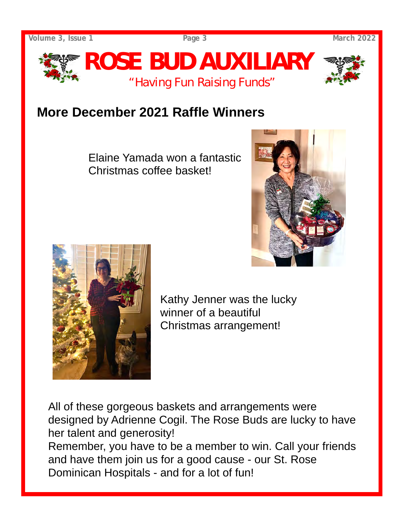

## **More December 2021 Raffle Winners**

Elaine Yamada won a fantastic Christmas coffee basket!





Kathy Jenner was the lucky winner of a beautiful Christmas arrangement!

All of these gorgeous baskets and arrangements were designed by Adrienne Cogil. The Rose Buds are lucky to have her talent and generosity! Remember, you have to be a member to win. Call your friends

and have them join us for a good cause - our St. Rose Dominican Hospitals - and for a lot of fun!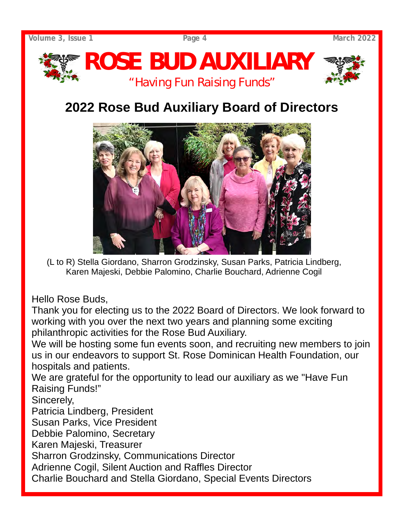

# **2022 Rose Bud Auxiliary Board of Directors**



(L to R) Stella Giordano, Sharron Grodzinsky, Susan Parks, Patricia Lindberg, Karen Majeski, Debbie Palomino, Charlie Bouchard, Adrienne Cogil

Hello Rose Buds,

Thank you for electing us to the 2022 Board of Directors. We look forward to working with you over the next two years and planning some exciting philanthropic activities for the Rose Bud Auxiliary.

We will be hosting some fun events soon, and recruiting new members to join us in our endeavors to support St. Rose Dominican Health Foundation, our hospitals and patients.

We are grateful for the opportunity to lead our auxiliary as we "Have Fun Raising Funds!"

Sincerely,

Patricia Lindberg, President

Susan Parks, Vice President

Debbie Palomino, Secretary

Karen Majeski, Treasurer

Sharron Grodzinsky, Communications Director

Adrienne Cogil, Silent Auction and Raffles Director

Charlie Bouchard and Stella Giordano, Special Events Directors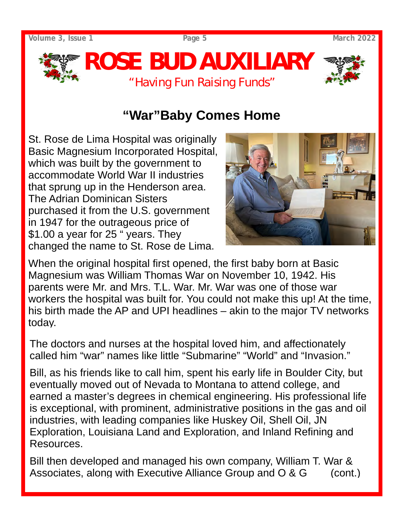**Volume 3, Issue 1 Page 5 March 2022**



## **"War"Baby Comes Home**

St. Rose de Lima Hospital was originally Basic Magnesium Incorporated Hospital, which was built by the government to accommodate World War II industries that sprung up in the Henderson area. The Adrian Dominican Sisters purchased it from the U.S. government in 1947 for the outrageous price of \$1.00 a year for 25 " years. They changed the name to St. Rose de Lima.



When the original hospital first opened, the first baby born at Basic Magnesium was William Thomas War on November 10, 1942. His parents were Mr. and Mrs. T.L. War. Mr. War was one of those war workers the hospital was built for. You could not make this up! At the time, his birth made the AP and UPI headlines – akin to the major TV networks today.

The doctors and nurses at the hospital loved him, and affectionately called him "war" names like little "Submarine" "World" and "Invasion."

Bill, as his friends like to call him, spent his early life in Boulder City, but eventually moved out of Nevada to Montana to attend college, and earned a master's degrees in chemical engineering. His professional life is exceptional, with prominent, administrative positions in the gas and oil industries, with leading companies like Huskey Oil, Shell Oil, JN Exploration, Louisiana Land and Exploration, and Inland Refining and Resources.

Bill then developed and managed his own company, William T. War & Associates, along with Executive Alliance Group and  $\overline{O}$  &  $\overline{G}$  (cont.)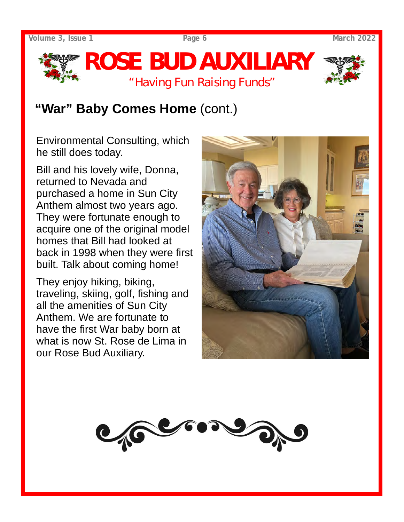



Environmental Consulting, which he still does today.

Bill and his lovely wife, Donna, returned to Nevada and purchased a home in Sun City Anthem almost two years ago. They were fortunate enough to acquire one of the original model homes that Bill had looked at back in 1998 when they were first built. Talk about coming home!

They enjoy hiking, biking, traveling, skiing, golf, fishing and all the amenities of Sun City Anthem. We are fortunate to have the first War baby born at what is now St. Rose de Lima in our Rose Bud Auxiliary.



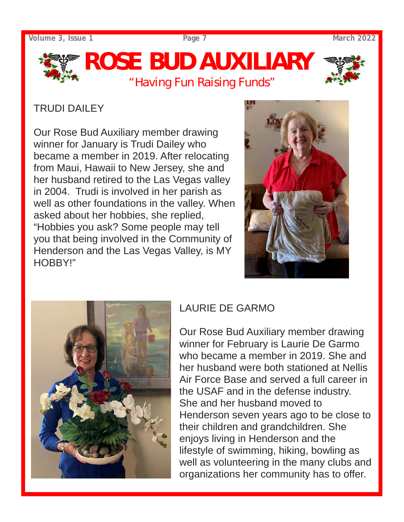**Volume 3, Issue 1 Page 7 March 2022**

# *ROSE BUD AUXILIARY "Having Fun Raising Funds"*



### TRUDI DAILEY

Our Rose Bud Auxiliary member drawing winner for January is Trudi Dailey who became a member in 2019. After relocating from Maui, Hawaii to New Jersey, she and her husband retired to the Las Vegas valley in 2004. Trudi is involved in her parish as well as other foundations in the valley. When asked about her hobbies, she replied, "Hobbies you ask? Some people may tell you that being involved in the Community of Henderson and the Las Vegas Valley, is MY HOBBY!"





### LAURIE DE GARMO

Our Rose Bud Auxiliary member drawing winner for February is Laurie De Garmo who became a member in 2019. She and her husband were both stationed at Nellis Air Force Base and served a full career in the USAF and in the defense industry. She and her husband moved to Henderson seven years ago to be close to their children and grandchildren. She enjoys living in Henderson and the lifestyle of swimming, hiking, bowling as well as volunteering in the many clubs and organizations her community has to offer.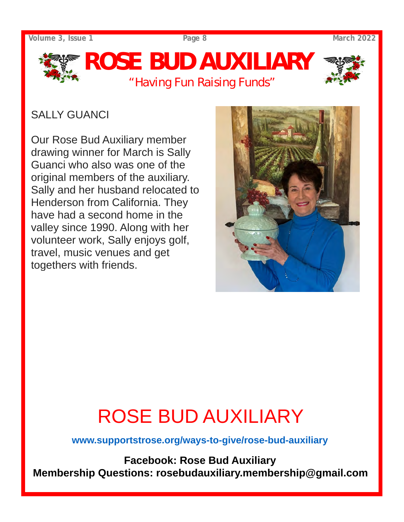**Volume 3, Issue 1 Page 8 March 2022**



### SALLY GUANCI

Our Rose Bud Auxiliary member drawing winner for March is Sally Guanci who also was one of the original members of the auxiliary. Sally and her husband relocated to Henderson from California. They have had a second home in the valley since 1990. Along with her volunteer work, Sally enjoys golf, travel, music venues and get togethers with friends.



# ROSE BUD AUXILIARY

**www.supportstrose.org/ways-to-give/rose-bud-auxiliary** 

**Facebook: Rose Bud Auxiliary Membership Questions: rosebudauxiliary.membership@gmail.com**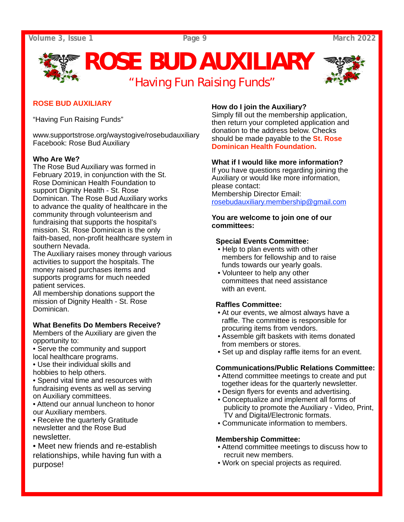**Volume 3, Issue 1 Page 9 March 2022**

# *ROSE BUD AUXILIARY "Having Fun Raising Funds"*



#### **ROSE BUD AUXILIARY**

"Having Fun Raising Funds"

www.supportstrose.org/waystogive/rosebudauxiliary Facebook: Rose Bud Auxiliary

#### **Who Are We?**

The Rose Bud Auxiliary was formed in February 2019, in conjunction with the St. Rose Dominican Health Foundation to support Dignity Health - St. Rose Dominican. The Rose Bud Auxiliary works to advance the quality of healthcare in the community through volunteerism and fundraising that supports the hospital's mission. St. Rose Dominican is the only faith-based, non-profit healthcare system in southern Nevada.

The Auxiliary raises money through various activities to support the hospitals. The money raised purchases items and supports programs for much needed patient services.

All membership donations support the mission of Dignity Health - St. Rose Dominican.

#### **What Benefits Do Members Receive?**

Members of the Auxiliary are given the opportunity to:

- Serve the community and support local healthcare programs.
- Use their individual skills and
- hobbies to help others.
- Spend vital time and resources with fundraising events as well as serving on Auxiliary committees.
- Attend our annual luncheon to honor our Auxiliary members.

• Receive the quarterly Gratitude newsletter and the Rose Bud newsletter.

• Meet new friends and re-establish relationships, while having fun with a purpose!

#### **How do I join the Auxiliary?**

Simply fill out the membership application, then return your completed application and donation to the address below. Checks should be made payable to the **St. Rose Dominican Health Foundation.** 

#### **What if I would like more information?**

If you have questions regarding joining the Auxiliary or would like more information, please contact: Membership Director Email: rosebudauxiliary.membership@gmail.com

#### **You are welcome to join one of our committees:**

#### **Special Events Committee:**

- Help to plan events with other members for fellowship and to raise funds towards our yearly goals.
- Volunteer to help any other committees that need assistance with an event.

#### **Raffles Committee:**

- At our events, we almost always have a raffle. The committee is responsible for procuring items from vendors.
- Assemble gift baskets with items donated from members or stores.
- Set up and display raffle items for an event.

#### **Communications/Public Relations Committee:**

- Attend committee meetings to create and put together ideas for the quarterly newsletter.
- Design flyers for events and advertising.
- Conceptualize and implement all forms of publicity to promote the Auxiliary - Video, Print, TV and Digital/Electronic formats.
- Communicate information to members.

#### **Membership Committee:**

- Attend committee meetings to discuss how to recruit new members.
- Work on special projects as required.